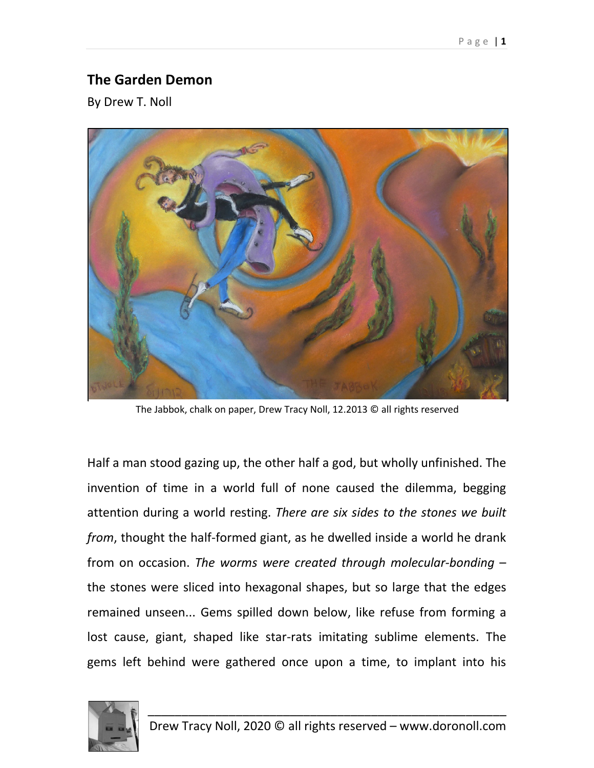## **The Garden Demon**

By Drew T. Noll



The Jabbok, chalk on paper, Drew Tracy Noll, 12.2013 © all rights reserved

Half a man stood gazing up, the other half a god, but wholly unfinished. The invention of time in a world full of none caused the dilemma, begging attention during a world resting. *There are six sides to the stones we built from*, thought the half-formed giant, as he dwelled inside a world he drank from on occasion. *The worms were created through molecular-bonding* – the stones were sliced into hexagonal shapes, but so large that the edges remained unseen... Gems spilled down below, like refuse from forming a lost cause, giant, shaped like star-rats imitating sublime elements. The gems left behind were gathered once upon a time, to implant into his

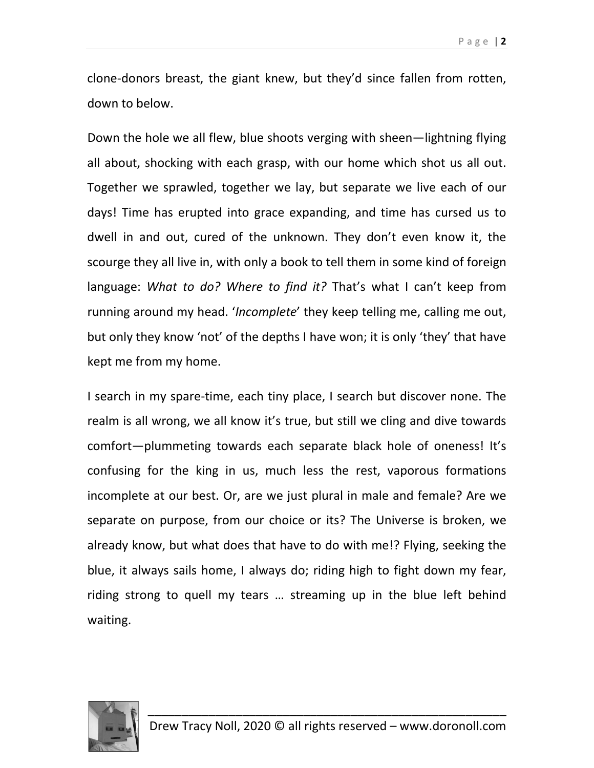clone-donors breast, the giant knew, but they'd since fallen from rotten, down to below.

Down the hole we all flew, blue shoots verging with sheen—lightning flying all about, shocking with each grasp, with our home which shot us all out. Together we sprawled, together we lay, but separate we live each of our days! Time has erupted into grace expanding, and time has cursed us to dwell in and out, cured of the unknown. They don't even know it, the scourge they all live in, with only a book to tell them in some kind of foreign language: *What to do? Where to find it?* That's what I can't keep from running around my head. '*Incomplete*' they keep telling me, calling me out, but only they know 'not' of the depths I have won; it is only 'they' that have kept me from my home.

I search in my spare-time, each tiny place, I search but discover none. The realm is all wrong, we all know it's true, but still we cling and dive towards comfort—plummeting towards each separate black hole of oneness! It's confusing for the king in us, much less the rest, vaporous formations incomplete at our best. Or, are we just plural in male and female? Are we separate on purpose, from our choice or its? The Universe is broken, we already know, but what does that have to do with me!? Flying, seeking the blue, it always sails home, I always do; riding high to fight down my fear, riding strong to quell my tears … streaming up in the blue left behind waiting.

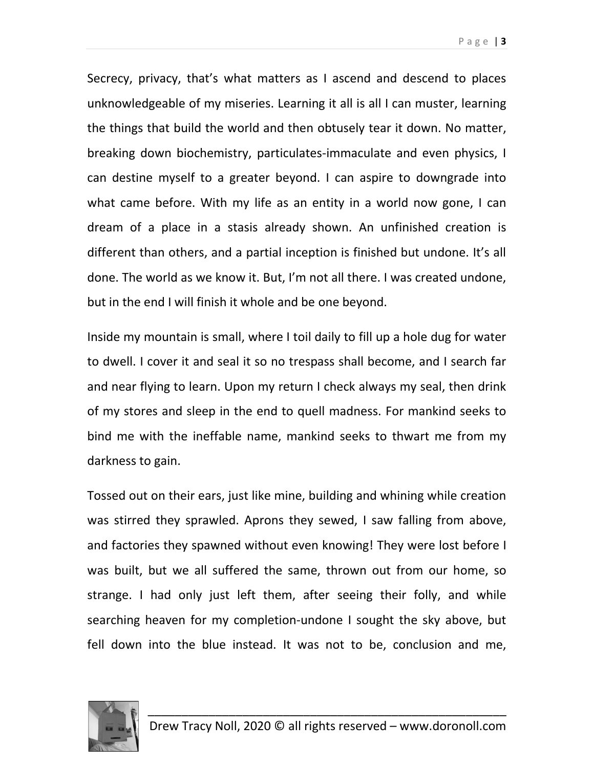Secrecy, privacy, that's what matters as I ascend and descend to places unknowledgeable of my miseries. Learning it all is all I can muster, learning the things that build the world and then obtusely tear it down. No matter, breaking down biochemistry, particulates-immaculate and even physics, I can destine myself to a greater beyond. I can aspire to downgrade into what came before. With my life as an entity in a world now gone, I can dream of a place in a stasis already shown. An unfinished creation is different than others, and a partial inception is finished but undone. It's all done. The world as we know it. But, I'm not all there. I was created undone, but in the end I will finish it whole and be one beyond.

Inside my mountain is small, where I toil daily to fill up a hole dug for water to dwell. I cover it and seal it so no trespass shall become, and I search far and near flying to learn. Upon my return I check always my seal, then drink of my stores and sleep in the end to quell madness. For mankind seeks to bind me with the ineffable name, mankind seeks to thwart me from my darkness to gain.

Tossed out on their ears, just like mine, building and whining while creation was stirred they sprawled. Aprons they sewed, I saw falling from above, and factories they spawned without even knowing! They were lost before I was built, but we all suffered the same, thrown out from our home, so strange. I had only just left them, after seeing their folly, and while searching heaven for my completion-undone I sought the sky above, but fell down into the blue instead. It was not to be, conclusion and me,

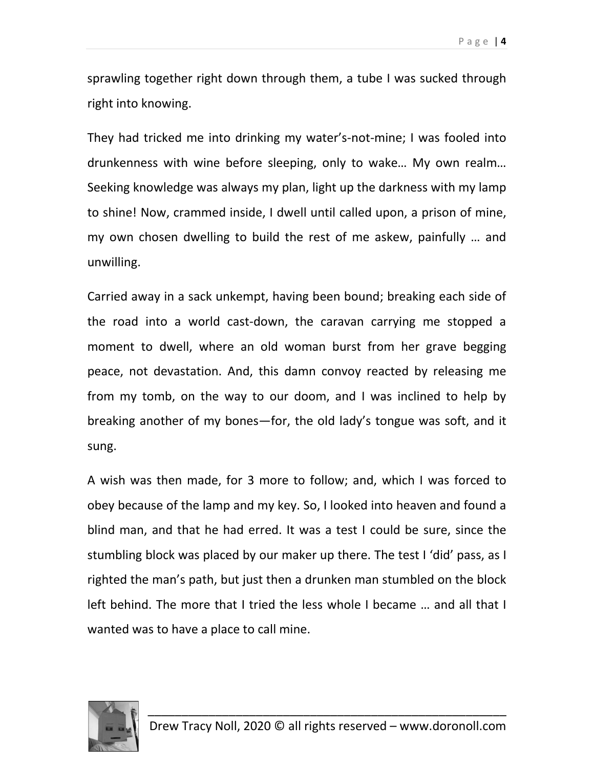sprawling together right down through them, a tube I was sucked through right into knowing.

They had tricked me into drinking my water's-not-mine; I was fooled into drunkenness with wine before sleeping, only to wake… My own realm… Seeking knowledge was always my plan, light up the darkness with my lamp to shine! Now, crammed inside, I dwell until called upon, a prison of mine, my own chosen dwelling to build the rest of me askew, painfully … and unwilling.

Carried away in a sack unkempt, having been bound; breaking each side of the road into a world cast-down, the caravan carrying me stopped a moment to dwell, where an old woman burst from her grave begging peace, not devastation. And, this damn convoy reacted by releasing me from my tomb, on the way to our doom, and I was inclined to help by breaking another of my bones—for, the old lady's tongue was soft, and it sung.

A wish was then made, for 3 more to follow; and, which I was forced to obey because of the lamp and my key. So, I looked into heaven and found a blind man, and that he had erred. It was a test I could be sure, since the stumbling block was placed by our maker up there. The test I 'did' pass, as I righted the man's path, but just then a drunken man stumbled on the block left behind. The more that I tried the less whole I became … and all that I wanted was to have a place to call mine.

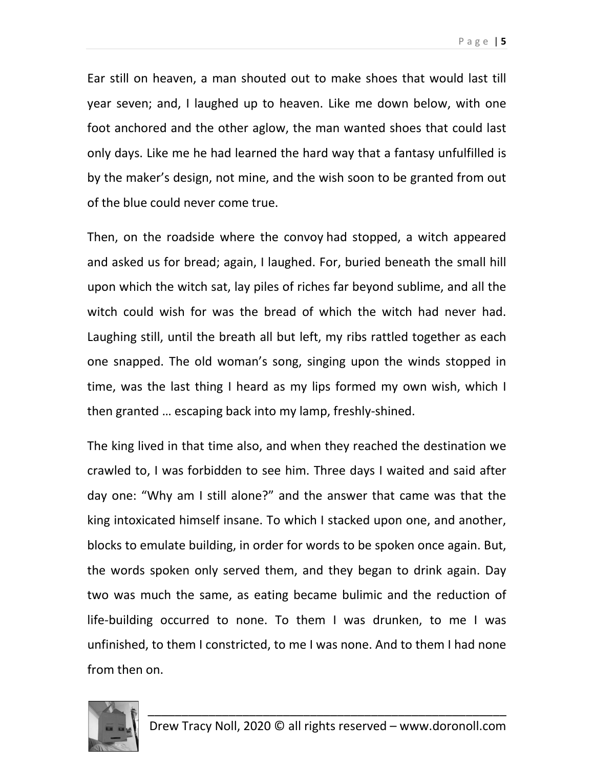Ear still on heaven, a man shouted out to make shoes that would last till year seven; and, I laughed up to heaven. Like me down below, with one

foot anchored and the other aglow, the man wanted shoes that could last only days. Like me he had learned the hard way that a fantasy unfulfilled is by the maker's design, not mine, and the wish soon to be granted from out of the blue could never come true.

Then, on the roadside where the convoy had stopped, a witch appeared and asked us for bread; again, I laughed. For, buried beneath the small hill upon which the witch sat, lay piles of riches far beyond sublime, and all the witch could wish for was the bread of which the witch had never had. Laughing still, until the breath all but left, my ribs rattled together as each one snapped. The old woman's song, singing upon the winds stopped in time, was the last thing I heard as my lips formed my own wish, which I then granted … escaping back into my lamp, freshly-shined.

The king lived in that time also, and when they reached the destination we crawled to, I was forbidden to see him. Three days I waited and said after day one: "Why am I still alone?" and the answer that came was that the king intoxicated himself insane. To which I stacked upon one, and another, blocks to emulate building, in order for words to be spoken once again. But, the words spoken only served them, and they began to drink again. Day two was much the same, as eating became bulimic and the reduction of life-building occurred to none. To them I was drunken, to me I was unfinished, to them I constricted, to me I was none. And to them I had none from then on.

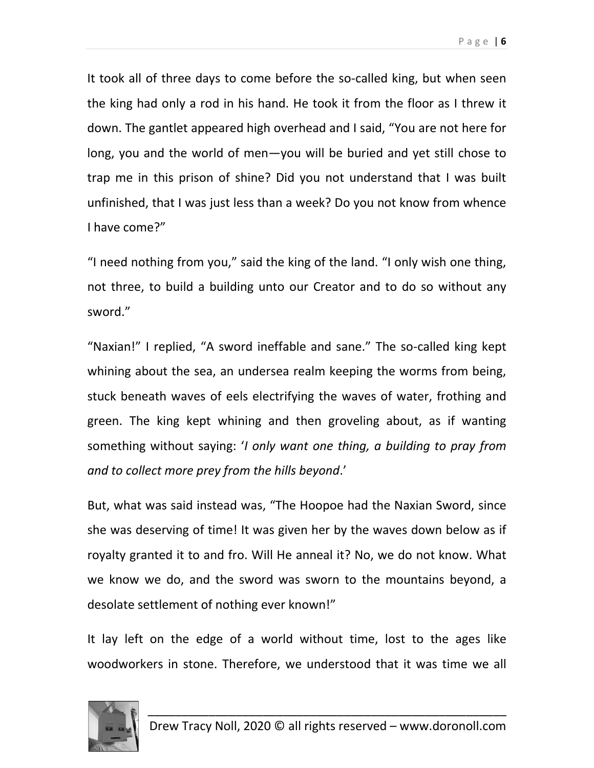It took all of three days to come before the so-called king, but when seen the king had only a rod in his hand. He took it from the floor as I threw it down. The gantlet appeared high overhead and I said, "You are not here for long, you and the world of men—you will be buried and yet still chose to trap me in this prison of shine? Did you not understand that I was built unfinished, that I was just less than a week? Do you not know from whence I have come?"

"I need nothing from you," said the king of the land. "I only wish one thing, not three, to build a building unto our Creator and to do so without any sword."

"Naxian!" I replied, "A sword ineffable and sane." The so-called king kept whining about the sea, an undersea realm keeping the worms from being, stuck beneath waves of eels electrifying the waves of water, frothing and green. The king kept whining and then groveling about, as if wanting something without saying: '*I only want one thing, a building to pray from and to collect more prey from the hills beyond*.'

But, what was said instead was, "The Hoopoe had the Naxian Sword, since she was deserving of time! It was given her by the waves down below as if royalty granted it to and fro. Will He anneal it? No, we do not know. What we know we do, and the sword was sworn to the mountains beyond, a desolate settlement of nothing ever known!"

It lay left on the edge of a world without time, lost to the ages like woodworkers in stone. Therefore, we understood that it was time we all

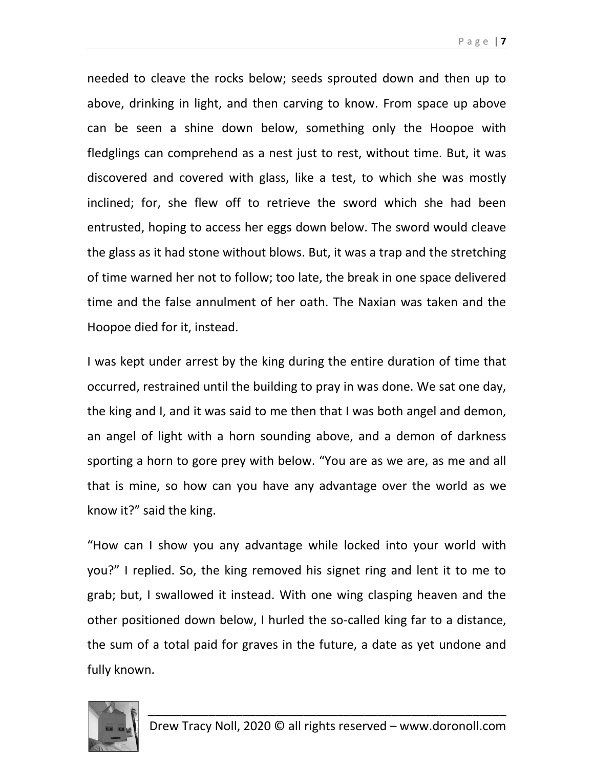Page | **7**

needed to cleave the rocks below; seeds sprouted down and then up to above, drinking in light, and then carving to know. From space up above can be seen a shine down below, something only the Hoopoe with fledglings can comprehend as a nest just to rest, without time. But, it was discovered and covered with glass, like a test, to which she was mostly inclined; for, she flew off to retrieve the sword which she had been entrusted, hoping to access her eggs down below. The sword would cleave the glass as it had stone without blows. But, it was a trap and the stretching of time warned her not to follow; too late, the break in one space delivered time and the false annulment of her oath. The Naxian was taken and the Hoopoe died for it, instead.

I was kept under arrest by the king during the entire duration of time that occurred, restrained until the building to pray in was done. We sat one day, the king and I, and it was said to me then that I was both angel and demon, an angel of light with a horn sounding above, and a demon of darkness sporting a horn to gore prey with below. "You are as we are, as me and all that is mine, so how can you have any advantage over the world as we know it?" said the king.

"How can I show you any advantage while locked into your world with you?" I replied. So, the king removed his signet ring and lent it to me to grab; but, I swallowed it instead. With one wing clasping heaven and the other positioned down below, I hurled the so-called king far to a distance, the sum of a total paid for graves in the future, a date as yet undone and fully known.

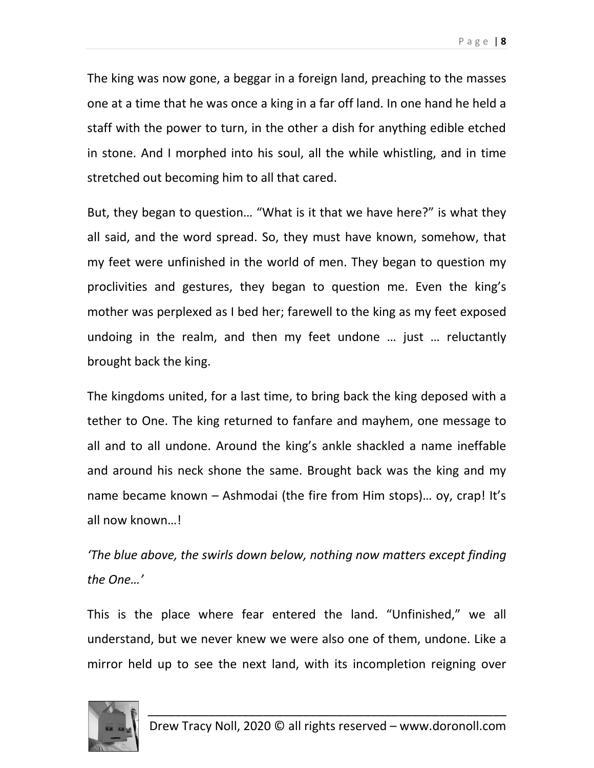The king was now gone, a beggar in a foreign land, preaching to the masses one at a time that he was once a king in a far off land. In one hand he held a staff with the power to turn, in the other a dish for anything edible etched in stone. And I morphed into his soul, all the while whistling, and in time stretched out becoming him to all that cared.

But, they began to question… "What is it that we have here?" is what they all said, and the word spread. So, they must have known, somehow, that my feet were unfinished in the world of men. They began to question my proclivities and gestures, they began to question me. Even the king's mother was perplexed as I bed her; farewell to the king as my feet exposed undoing in the realm, and then my feet undone … just … reluctantly brought back the king.

The kingdoms united, for a last time, to bring back the king deposed with a tether to One. The king returned to fanfare and mayhem, one message to all and to all undone. Around the king's ankle shackled a name ineffable and around his neck shone the same. Brought back was the king and my name became known – Ashmodai (the fire from Him stops)… oy, crap! It's all now known…!

*'The blue above, the swirls down below, nothing now matters except finding the One…'*

This is the place where fear entered the land. "Unfinished," we all understand, but we never knew we were also one of them, undone. Like a mirror held up to see the next land, with its incompletion reigning over